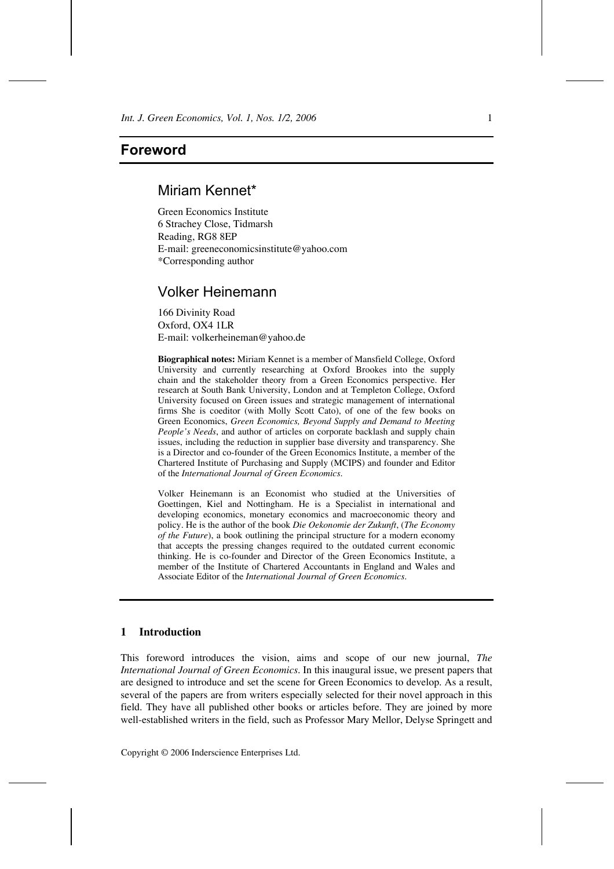# Miriam Kennet\*

Green Economics Institute 6 Strachey Close, Tidmarsh Reading, RG8 8EP E-mail: greeneconomicsinstitute@yahoo.com \*Corresponding author

# Volker Heinemann

166 Divinity Road Oxford, OX4 1LR E-mail: volkerheineman@yahoo.de

**Biographical notes:** Miriam Kennet is a member of Mansfield College, Oxford University and currently researching at Oxford Brookes into the supply chain and the stakeholder theory from a Green Economics perspective. Her research at South Bank University, London and at Templeton College, Oxford University focused on Green issues and strategic management of international firms She is coeditor (with Molly Scott Cato), of one of the few books on Green Economics, *Green Economics, Beyond Supply and Demand to Meeting People's Needs*, and author of articles on corporate backlash and supply chain issues, including the reduction in supplier base diversity and transparency. She is a Director and co-founder of the Green Economics Institute, a member of the Chartered Institute of Purchasing and Supply (MCIPS) and founder and Editor of the *International Journal of Green Economics*.

Volker Heinemann is an Economist who studied at the Universities of Goettingen, Kiel and Nottingham. He is a Specialist in international and developing economics, monetary economics and macroeconomic theory and policy. He is the author of the book *Die Oekonomie der Zukunft*, (*The Economy of the Future*), a book outlining the principal structure for a modern economy that accepts the pressing changes required to the outdated current economic thinking. He is co-founder and Director of the Green Economics Institute, a member of the Institute of Chartered Accountants in England and Wales and Associate Editor of the *International Journal of Green Economics*.

# **1 Introduction**

This foreword introduces the vision, aims and scope of our new journal, *The International Journal of Green Economics*. In this inaugural issue, we present papers that are designed to introduce and set the scene for Green Economics to develop. As a result, several of the papers are from writers especially selected for their novel approach in this field. They have all published other books or articles before. They are joined by more well-established writers in the field, such as Professor Mary Mellor, Delyse Springett and

Copyright © 2006 Inderscience Enterprises Ltd.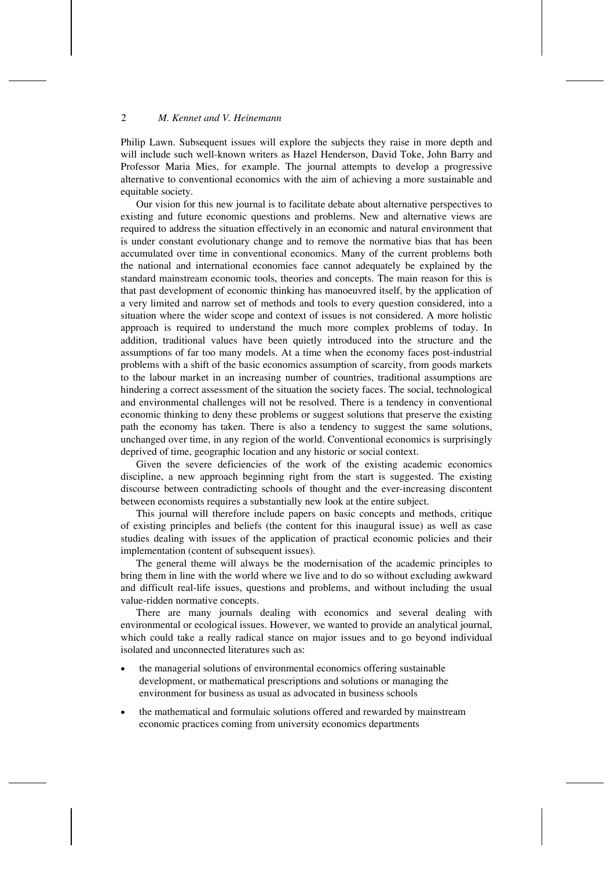Philip Lawn. Subsequent issues will explore the subjects they raise in more depth and will include such well-known writers as Hazel Henderson, David Toke, John Barry and Professor Maria Mies, for example. The journal attempts to develop a progressive alternative to conventional economics with the aim of achieving a more sustainable and equitable society.

Our vision for this new journal is to facilitate debate about alternative perspectives to existing and future economic questions and problems. New and alternative views are required to address the situation effectively in an economic and natural environment that is under constant evolutionary change and to remove the normative bias that has been accumulated over time in conventional economics. Many of the current problems both the national and international economies face cannot adequately be explained by the standard mainstream economic tools, theories and concepts. The main reason for this is that past development of economic thinking has manoeuvred itself, by the application of a very limited and narrow set of methods and tools to every question considered, into a situation where the wider scope and context of issues is not considered. A more holistic approach is required to understand the much more complex problems of today. In addition, traditional values have been quietly introduced into the structure and the assumptions of far too many models. At a time when the economy faces post-industrial problems with a shift of the basic economics assumption of scarcity, from goods markets to the labour market in an increasing number of countries, traditional assumptions are hindering a correct assessment of the situation the society faces. The social, technological and environmental challenges will not be resolved. There is a tendency in conventional economic thinking to deny these problems or suggest solutions that preserve the existing path the economy has taken. There is also a tendency to suggest the same solutions, unchanged over time, in any region of the world. Conventional economics is surprisingly deprived of time, geographic location and any historic or social context.

Given the severe deficiencies of the work of the existing academic economics discipline, a new approach beginning right from the start is suggested. The existing discourse between contradicting schools of thought and the ever-increasing discontent between economists requires a substantially new look at the entire subject.

This journal will therefore include papers on basic concepts and methods, critique of existing principles and beliefs (the content for this inaugural issue) as well as case studies dealing with issues of the application of practical economic policies and their implementation (content of subsequent issues).

The general theme will always be the modernisation of the academic principles to bring them in line with the world where we live and to do so without excluding awkward and difficult real-life issues, questions and problems, and without including the usual value-ridden normative concepts.

There are many journals dealing with economics and several dealing with environmental or ecological issues. However, we wanted to provide an analytical journal, which could take a really radical stance on major issues and to go beyond individual isolated and unconnected literatures such as:

- the managerial solutions of environmental economics offering sustainable development, or mathematical prescriptions and solutions or managing the environment for business as usual as advocated in business schools
- the mathematical and formulaic solutions offered and rewarded by mainstream economic practices coming from university economics departments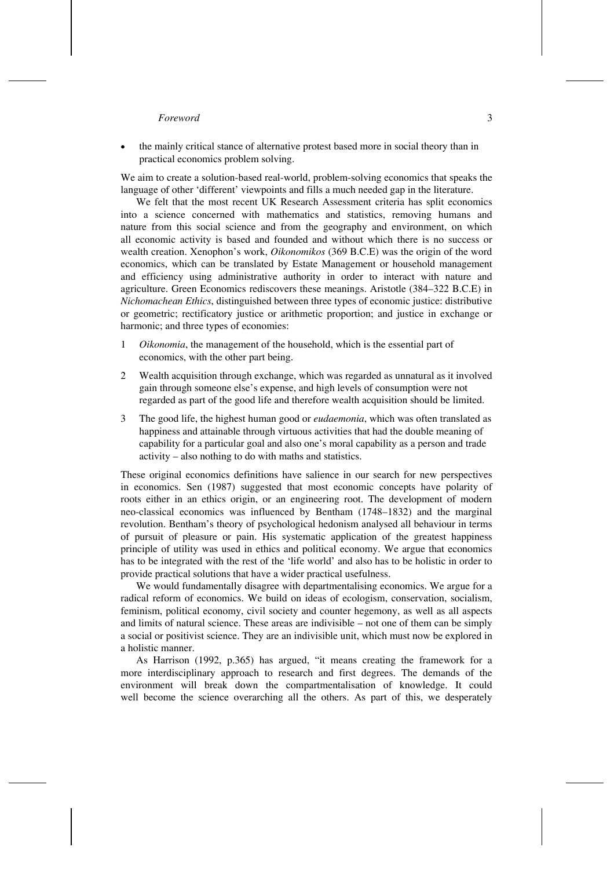• the mainly critical stance of alternative protest based more in social theory than in practical economics problem solving.

We aim to create a solution-based real-world, problem-solving economics that speaks the language of other 'different' viewpoints and fills a much needed gap in the literature.

We felt that the most recent UK Research Assessment criteria has split economics into a science concerned with mathematics and statistics, removing humans and nature from this social science and from the geography and environment, on which all economic activity is based and founded and without which there is no success or wealth creation. Xenophon's work, *Oikonomikos* (369 B.C.E) was the origin of the word economics, which can be translated by Estate Management or household management and efficiency using administrative authority in order to interact with nature and agriculture. Green Economics rediscovers these meanings. Aristotle (384–322 B.C.E) in *Nichomachean Ethics*, distinguished between three types of economic justice: distributive or geometric; rectificatory justice or arithmetic proportion; and justice in exchange or harmonic; and three types of economies:

- 1 *Oikonomia*, the management of the household, which is the essential part of economics, with the other part being.
- 2 Wealth acquisition through exchange, which was regarded as unnatural as it involved gain through someone else's expense, and high levels of consumption were not regarded as part of the good life and therefore wealth acquisition should be limited.
- 3 The good life, the highest human good or *eudaemonia*, which was often translated as happiness and attainable through virtuous activities that had the double meaning of capability for a particular goal and also one's moral capability as a person and trade activity – also nothing to do with maths and statistics.

These original economics definitions have salience in our search for new perspectives in economics. Sen (1987) suggested that most economic concepts have polarity of roots either in an ethics origin, or an engineering root. The development of modern neo-classical economics was influenced by Bentham (1748–1832) and the marginal revolution. Bentham's theory of psychological hedonism analysed all behaviour in terms of pursuit of pleasure or pain. His systematic application of the greatest happiness principle of utility was used in ethics and political economy. We argue that economics has to be integrated with the rest of the 'life world' and also has to be holistic in order to provide practical solutions that have a wider practical usefulness.

We would fundamentally disagree with departmentalising economics. We argue for a radical reform of economics. We build on ideas of ecologism, conservation, socialism, feminism, political economy, civil society and counter hegemony, as well as all aspects and limits of natural science. These areas are indivisible – not one of them can be simply a social or positivist science. They are an indivisible unit, which must now be explored in a holistic manner.

As Harrison (1992, p.365) has argued, "it means creating the framework for a more interdisciplinary approach to research and first degrees. The demands of the environment will break down the compartmentalisation of knowledge. It could well become the science overarching all the others. As part of this, we desperately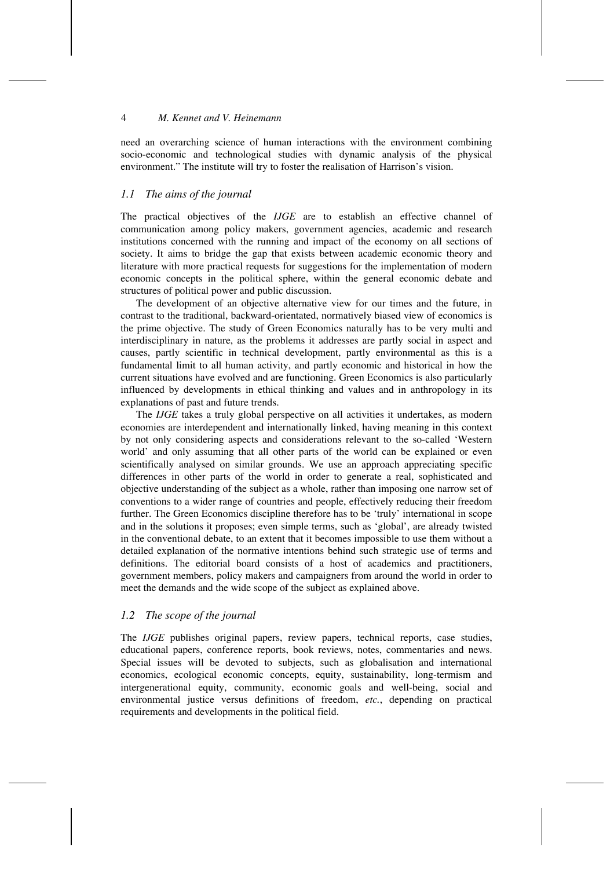need an overarching science of human interactions with the environment combining socio-economic and technological studies with dynamic analysis of the physical environment." The institute will try to foster the realisation of Harrison's vision.

## *1.1 The aims of the journal*

The practical objectives of the *IJGE* are to establish an effective channel of communication among policy makers, government agencies, academic and research institutions concerned with the running and impact of the economy on all sections of society. It aims to bridge the gap that exists between academic economic theory and literature with more practical requests for suggestions for the implementation of modern economic concepts in the political sphere, within the general economic debate and structures of political power and public discussion.

The development of an objective alternative view for our times and the future, in contrast to the traditional, backward-orientated, normatively biased view of economics is the prime objective. The study of Green Economics naturally has to be very multi and interdisciplinary in nature, as the problems it addresses are partly social in aspect and causes, partly scientific in technical development, partly environmental as this is a fundamental limit to all human activity, and partly economic and historical in how the current situations have evolved and are functioning. Green Economics is also particularly influenced by developments in ethical thinking and values and in anthropology in its explanations of past and future trends.

The *IJGE* takes a truly global perspective on all activities it undertakes, as modern economies are interdependent and internationally linked, having meaning in this context by not only considering aspects and considerations relevant to the so-called 'Western world' and only assuming that all other parts of the world can be explained or even scientifically analysed on similar grounds. We use an approach appreciating specific differences in other parts of the world in order to generate a real, sophisticated and objective understanding of the subject as a whole, rather than imposing one narrow set of conventions to a wider range of countries and people, effectively reducing their freedom further. The Green Economics discipline therefore has to be 'truly' international in scope and in the solutions it proposes; even simple terms, such as 'global', are already twisted in the conventional debate, to an extent that it becomes impossible to use them without a detailed explanation of the normative intentions behind such strategic use of terms and definitions. The editorial board consists of a host of academics and practitioners, government members, policy makers and campaigners from around the world in order to meet the demands and the wide scope of the subject as explained above.

## *1.2 The scope of the journal*

The *IJGE* publishes original papers, review papers, technical reports, case studies, educational papers, conference reports, book reviews, notes, commentaries and news. Special issues will be devoted to subjects, such as globalisation and international economics, ecological economic concepts, equity, sustainability, long-termism and intergenerational equity, community, economic goals and well-being, social and environmental justice versus definitions of freedom, *etc.*, depending on practical requirements and developments in the political field.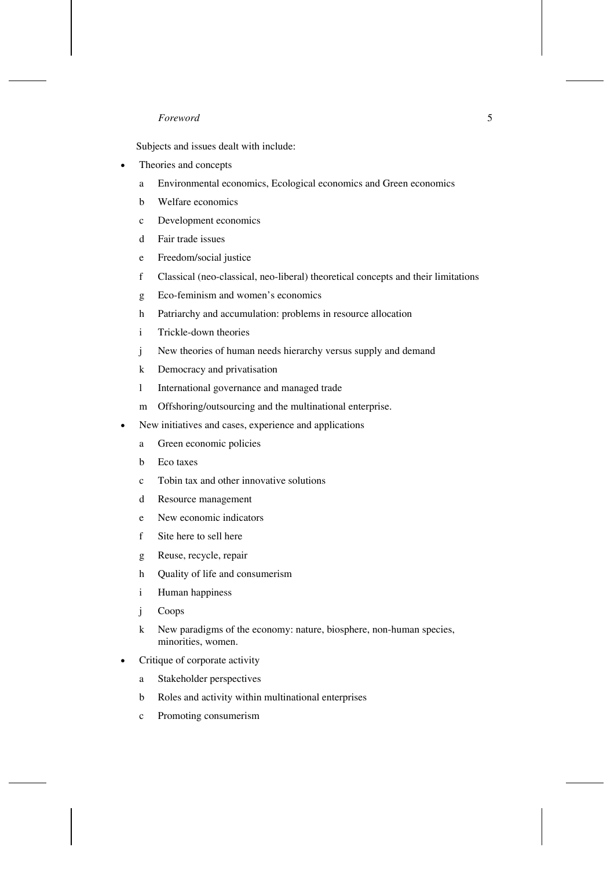Subjects and issues dealt with include:

- Theories and concepts
	- a Environmental economics, Ecological economics and Green economics
	- b Welfare economics
	- c Development economics
	- d Fair trade issues
	- e Freedom/social justice
	- f Classical (neo-classical, neo-liberal) theoretical concepts and their limitations
	- g Eco-feminism and women's economics
	- h Patriarchy and accumulation: problems in resource allocation
	- i Trickle-down theories
	- j New theories of human needs hierarchy versus supply and demand
	- k Democracy and privatisation
	- l International governance and managed trade
	- m Offshoring/outsourcing and the multinational enterprise.
- New initiatives and cases, experience and applications
	- a Green economic policies
	- b Eco taxes
	- c Tobin tax and other innovative solutions
	- d Resource management
	- e New economic indicators
	- f Site here to sell here
	- g Reuse, recycle, repair
	- h Quality of life and consumerism
	- i Human happiness
	- j Coops
	- k New paradigms of the economy: nature, biosphere, non-human species, minorities, women.
- Critique of corporate activity
	- a Stakeholder perspectives
	- b Roles and activity within multinational enterprises
	- c Promoting consumerism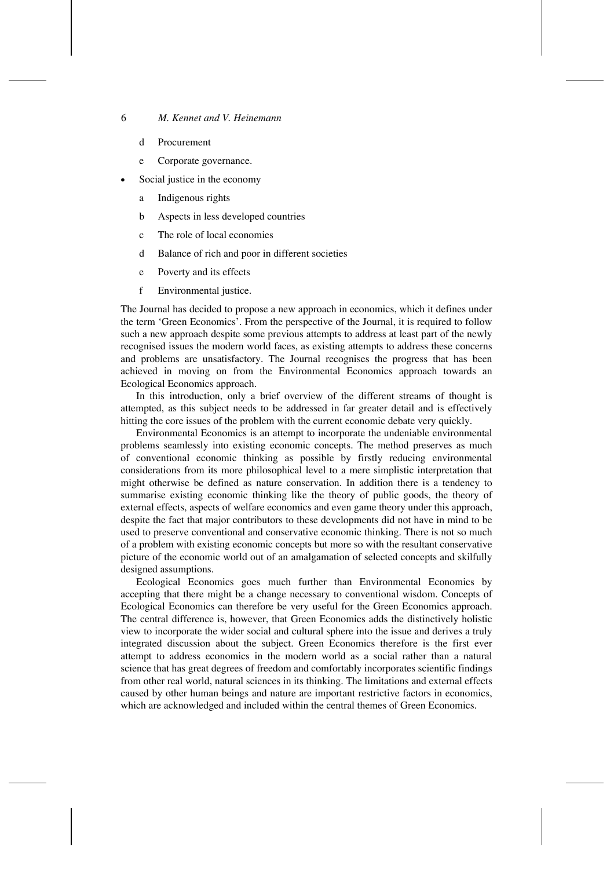- d Procurement
- e Corporate governance.
- Social justice in the economy
	- a Indigenous rights
	- b Aspects in less developed countries
	- c The role of local economies
	- d Balance of rich and poor in different societies
	- e Poverty and its effects
	- f Environmental justice.

The Journal has decided to propose a new approach in economics, which it defines under the term 'Green Economics'. From the perspective of the Journal, it is required to follow such a new approach despite some previous attempts to address at least part of the newly recognised issues the modern world faces, as existing attempts to address these concerns and problems are unsatisfactory. The Journal recognises the progress that has been achieved in moving on from the Environmental Economics approach towards an Ecological Economics approach.

In this introduction, only a brief overview of the different streams of thought is attempted, as this subject needs to be addressed in far greater detail and is effectively hitting the core issues of the problem with the current economic debate very quickly.

Environmental Economics is an attempt to incorporate the undeniable environmental problems seamlessly into existing economic concepts. The method preserves as much of conventional economic thinking as possible by firstly reducing environmental considerations from its more philosophical level to a mere simplistic interpretation that might otherwise be defined as nature conservation. In addition there is a tendency to summarise existing economic thinking like the theory of public goods, the theory of external effects, aspects of welfare economics and even game theory under this approach, despite the fact that major contributors to these developments did not have in mind to be used to preserve conventional and conservative economic thinking. There is not so much of a problem with existing economic concepts but more so with the resultant conservative picture of the economic world out of an amalgamation of selected concepts and skilfully designed assumptions.

Ecological Economics goes much further than Environmental Economics by accepting that there might be a change necessary to conventional wisdom. Concepts of Ecological Economics can therefore be very useful for the Green Economics approach. The central difference is, however, that Green Economics adds the distinctively holistic view to incorporate the wider social and cultural sphere into the issue and derives a truly integrated discussion about the subject. Green Economics therefore is the first ever attempt to address economics in the modern world as a social rather than a natural science that has great degrees of freedom and comfortably incorporates scientific findings from other real world, natural sciences in its thinking. The limitations and external effects caused by other human beings and nature are important restrictive factors in economics, which are acknowledged and included within the central themes of Green Economics.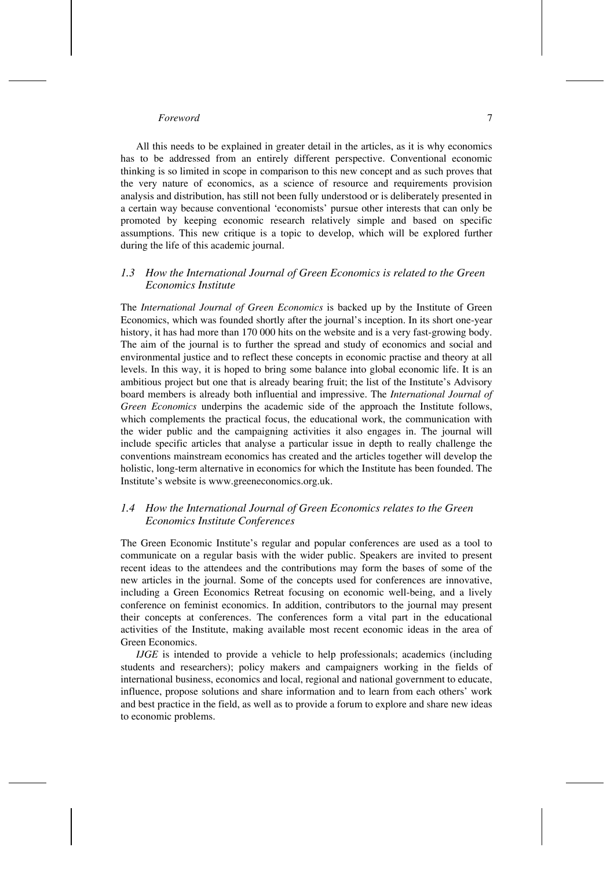All this needs to be explained in greater detail in the articles, as it is why economics has to be addressed from an entirely different perspective. Conventional economic thinking is so limited in scope in comparison to this new concept and as such proves that the very nature of economics, as a science of resource and requirements provision analysis and distribution, has still not been fully understood or is deliberately presented in a certain way because conventional 'economists' pursue other interests that can only be promoted by keeping economic research relatively simple and based on specific assumptions. This new critique is a topic to develop, which will be explored further during the life of this academic journal.

# *1.3 How the International Journal of Green Economics is related to the Green Economics Institute*

The *International Journal of Green Economics* is backed up by the Institute of Green Economics, which was founded shortly after the journal's inception. In its short one-year history, it has had more than 170 000 hits on the website and is a very fast-growing body. The aim of the journal is to further the spread and study of economics and social and environmental justice and to reflect these concepts in economic practise and theory at all levels. In this way, it is hoped to bring some balance into global economic life. It is an ambitious project but one that is already bearing fruit; the list of the Institute's Advisory board members is already both influential and impressive. The *International Journal of Green Economics* underpins the academic side of the approach the Institute follows, which complements the practical focus, the educational work, the communication with the wider public and the campaigning activities it also engages in. The journal will include specific articles that analyse a particular issue in depth to really challenge the conventions mainstream economics has created and the articles together will develop the holistic, long-term alternative in economics for which the Institute has been founded. The Institute's website is www.greeneconomics.org.uk.

## *1.4 How the International Journal of Green Economics relates to the Green Economics Institute Conferences*

The Green Economic Institute's regular and popular conferences are used as a tool to communicate on a regular basis with the wider public. Speakers are invited to present recent ideas to the attendees and the contributions may form the bases of some of the new articles in the journal. Some of the concepts used for conferences are innovative, including a Green Economics Retreat focusing on economic well-being, and a lively conference on feminist economics. In addition, contributors to the journal may present their concepts at conferences. The conferences form a vital part in the educational activities of the Institute, making available most recent economic ideas in the area of Green Economics.

*IJGE* is intended to provide a vehicle to help professionals; academics (including students and researchers); policy makers and campaigners working in the fields of international business, economics and local, regional and national government to educate, influence, propose solutions and share information and to learn from each others' work and best practice in the field, as well as to provide a forum to explore and share new ideas to economic problems.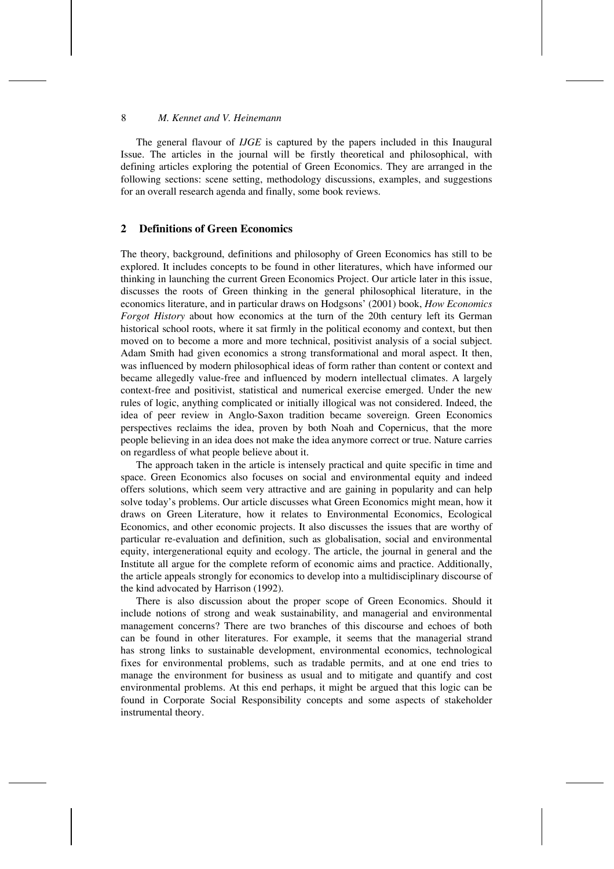The general flavour of *IJGE* is captured by the papers included in this Inaugural Issue. The articles in the journal will be firstly theoretical and philosophical, with defining articles exploring the potential of Green Economics. They are arranged in the following sections: scene setting, methodology discussions, examples, and suggestions for an overall research agenda and finally, some book reviews.

## **2 Definitions of Green Economics**

The theory, background, definitions and philosophy of Green Economics has still to be explored. It includes concepts to be found in other literatures, which have informed our thinking in launching the current Green Economics Project. Our article later in this issue, discusses the roots of Green thinking in the general philosophical literature, in the economics literature, and in particular draws on Hodgsons' (2001) book, *How Economics Forgot History* about how economics at the turn of the 20th century left its German historical school roots, where it sat firmly in the political economy and context, but then moved on to become a more and more technical, positivist analysis of a social subject. Adam Smith had given economics a strong transformational and moral aspect. It then, was influenced by modern philosophical ideas of form rather than content or context and became allegedly value-free and influenced by modern intellectual climates. A largely context-free and positivist, statistical and numerical exercise emerged. Under the new rules of logic, anything complicated or initially illogical was not considered. Indeed, the idea of peer review in Anglo-Saxon tradition became sovereign. Green Economics perspectives reclaims the idea, proven by both Noah and Copernicus, that the more people believing in an idea does not make the idea anymore correct or true. Nature carries on regardless of what people believe about it.

The approach taken in the article is intensely practical and quite specific in time and space. Green Economics also focuses on social and environmental equity and indeed offers solutions, which seem very attractive and are gaining in popularity and can help solve today's problems. Our article discusses what Green Economics might mean, how it draws on Green Literature, how it relates to Environmental Economics, Ecological Economics, and other economic projects. It also discusses the issues that are worthy of particular re-evaluation and definition, such as globalisation, social and environmental equity, intergenerational equity and ecology. The article, the journal in general and the Institute all argue for the complete reform of economic aims and practice. Additionally, the article appeals strongly for economics to develop into a multidisciplinary discourse of the kind advocated by Harrison (1992).

There is also discussion about the proper scope of Green Economics. Should it include notions of strong and weak sustainability, and managerial and environmental management concerns? There are two branches of this discourse and echoes of both can be found in other literatures. For example, it seems that the managerial strand has strong links to sustainable development, environmental economics, technological fixes for environmental problems, such as tradable permits, and at one end tries to manage the environment for business as usual and to mitigate and quantify and cost environmental problems. At this end perhaps, it might be argued that this logic can be found in Corporate Social Responsibility concepts and some aspects of stakeholder instrumental theory.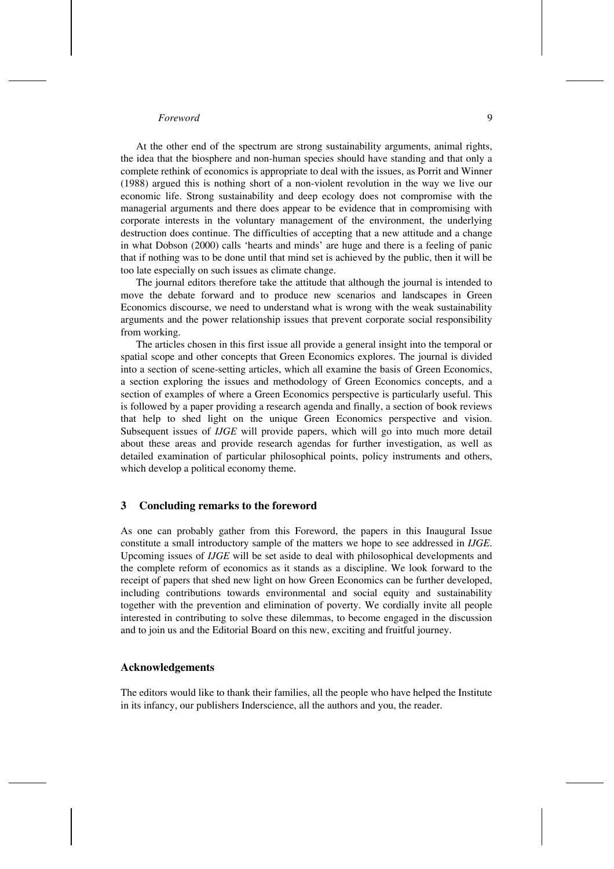At the other end of the spectrum are strong sustainability arguments, animal rights, the idea that the biosphere and non-human species should have standing and that only a complete rethink of economics is appropriate to deal with the issues, as Porrit and Winner (1988) argued this is nothing short of a non-violent revolution in the way we live our economic life. Strong sustainability and deep ecology does not compromise with the managerial arguments and there does appear to be evidence that in compromising with corporate interests in the voluntary management of the environment, the underlying destruction does continue. The difficulties of accepting that a new attitude and a change in what Dobson (2000) calls 'hearts and minds' are huge and there is a feeling of panic that if nothing was to be done until that mind set is achieved by the public, then it will be too late especially on such issues as climate change.

The journal editors therefore take the attitude that although the journal is intended to move the debate forward and to produce new scenarios and landscapes in Green Economics discourse, we need to understand what is wrong with the weak sustainability arguments and the power relationship issues that prevent corporate social responsibility from working.

The articles chosen in this first issue all provide a general insight into the temporal or spatial scope and other concepts that Green Economics explores. The journal is divided into a section of scene-setting articles, which all examine the basis of Green Economics, a section exploring the issues and methodology of Green Economics concepts, and a section of examples of where a Green Economics perspective is particularly useful. This is followed by a paper providing a research agenda and finally, a section of book reviews that help to shed light on the unique Green Economics perspective and vision. Subsequent issues of *IJGE* will provide papers, which will go into much more detail about these areas and provide research agendas for further investigation, as well as detailed examination of particular philosophical points, policy instruments and others, which develop a political economy theme.

### **3 Concluding remarks to the foreword**

As one can probably gather from this Foreword, the papers in this Inaugural Issue constitute a small introductory sample of the matters we hope to see addressed in *IJGE*. Upcoming issues of *IJGE* will be set aside to deal with philosophical developments and the complete reform of economics as it stands as a discipline. We look forward to the receipt of papers that shed new light on how Green Economics can be further developed, including contributions towards environmental and social equity and sustainability together with the prevention and elimination of poverty. We cordially invite all people interested in contributing to solve these dilemmas, to become engaged in the discussion and to join us and the Editorial Board on this new, exciting and fruitful journey.

### **Acknowledgements**

The editors would like to thank their families, all the people who have helped the Institute in its infancy, our publishers Inderscience, all the authors and you, the reader.